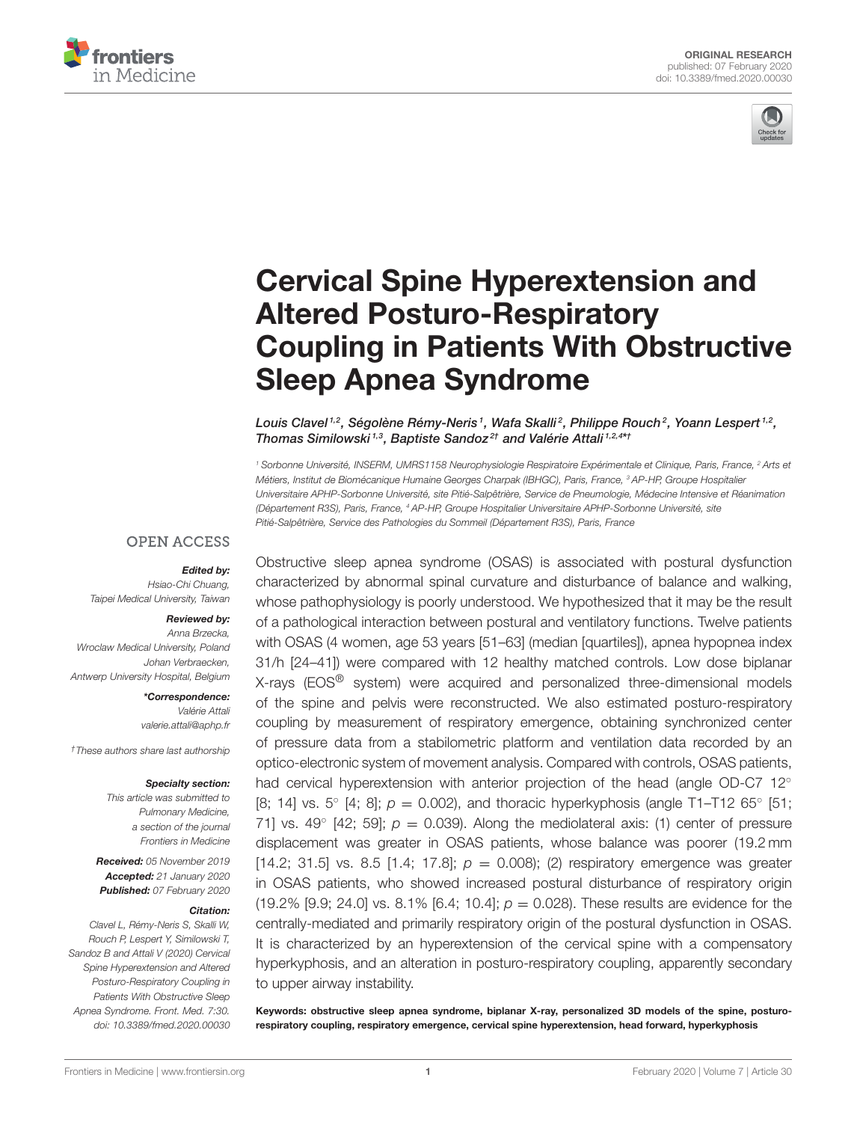



# Cervical Spine Hyperextension and Altered Posturo-Respiratory [Coupling in Patients With Obstructive](https://www.frontiersin.org/articles/10.3389/fmed.2020.00030/full) Sleep Apnea Syndrome

[Louis Clavel](http://loop.frontiersin.org/people/689634/overview)  $^{1,2}$ , Ségolène Rémy-Neris  $^1$ , [Wafa Skalli](http://loop.frontiersin.org/people/718597/overview)  $^2$ , Philippe Rouch  $^2$ , Yoann Lespert  $^{1,2}$ , [Thomas Similowski](http://loop.frontiersin.org/people/256522/overview)<sup>1,3</sup>, [Baptiste Sandoz](http://loop.frontiersin.org/people/357036/overview)<sup>2†</sup> and [Valérie Attali](http://loop.frontiersin.org/people/603320/overview)<sup>1,2,4\*†</sup>

<sup>1</sup> Sorbonne Université, INSERM, UMRS1158 Neurophysiologie Respiratoire Expérimentale et Clinique, Paris, France, <sup>2</sup> Arts et Métiers, Institut de Biomécanique Humaine Georges Charpak (IBHGC), Paris, France, <sup>3</sup> AP-HP, Groupe Hospitalier Universitaire APHP-Sorbonne Université, site Pitié-Salpêtrière, Service de Pneumologie, Médecine Intensive et Réanimation (Département R3S), Paris, France, <sup>4</sup> AP-HP, Groupe Hospitalier Universitaire APHP-Sorbonne Université, site Pitié-Salpêtrière, Service des Pathologies du Sommeil (Département R3S), Paris, France

#### **OPEN ACCESS**

#### Edited by:

Hsiao-Chi Chuang, Taipei Medical University, Taiwan

#### Reviewed by:

Anna Brzecka, Wroclaw Medical University, Poland Johan Verbraecken, Antwerp University Hospital, Belgium

> \*Correspondence: Valérie Attali [valerie.attali@aphp.fr](mailto:valerie.attali@aphp.fr)

†These authors share last authorship

#### Specialty section:

This article was submitted to Pulmonary Medicine, a section of the journal Frontiers in Medicine

Received: 05 November 2019 Accepted: 21 January 2020 Published: 07 February 2020

#### Citation:

Clavel L, Rémy-Neris S, Skalli W, Rouch P, Lespert Y, Similowski T, Sandoz B and Attali V (2020) Cervical Spine Hyperextension and Altered Posturo-Respiratory Coupling in Patients With Obstructive Sleep Apnea Syndrome. Front. Med. 7:30. doi: [10.3389/fmed.2020.00030](https://doi.org/10.3389/fmed.2020.00030)

Obstructive sleep apnea syndrome (OSAS) is associated with postural dysfunction characterized by abnormal spinal curvature and disturbance of balance and walking, whose pathophysiology is poorly understood. We hypothesized that it may be the result of a pathological interaction between postural and ventilatory functions. Twelve patients with OSAS (4 women, age 53 years [51–63] (median [quartiles]), apnea hypopnea index 31/h [24–41]) were compared with 12 healthy matched controls. Low dose biplanar X-rays (EOS® system) were acquired and personalized three-dimensional models of the spine and pelvis were reconstructed. We also estimated posturo-respiratory coupling by measurement of respiratory emergence, obtaining synchronized center of pressure data from a stabilometric platform and ventilation data recorded by an optico-electronic system of movement analysis. Compared with controls, OSAS patients, had cervical hyperextension with anterior projection of the head (angle OD-C7 12<sup>°</sup> [8; 14] vs. 5° [4; 8];  $p = 0.002$ ), and thoracic hyperkyphosis (angle T1-T12 65° [51; 71] vs. 49 $^{\circ}$  [42; 59];  $p = 0.039$ ). Along the mediolateral axis: (1) center of pressure displacement was greater in OSAS patients, whose balance was poorer (19.2 mm [14.2; 31.5] vs. 8.5 [1.4; 17.8];  $p = 0.008$ ); (2) respiratory emergence was greater in OSAS patients, who showed increased postural disturbance of respiratory origin (19.2% [9.9; 24.0] vs. 8.1% [6.4; 10.4];  $p = 0.028$ ). These results are evidence for the centrally-mediated and primarily respiratory origin of the postural dysfunction in OSAS. It is characterized by an hyperextension of the cervical spine with a compensatory hyperkyphosis, and an alteration in posturo-respiratory coupling, apparently secondary to upper airway instability.

Keywords: obstructive sleep apnea syndrome, biplanar X-ray, personalized 3D models of the spine, posturorespiratory coupling, respiratory emergence, cervical spine hyperextension, head forward, hyperkyphosis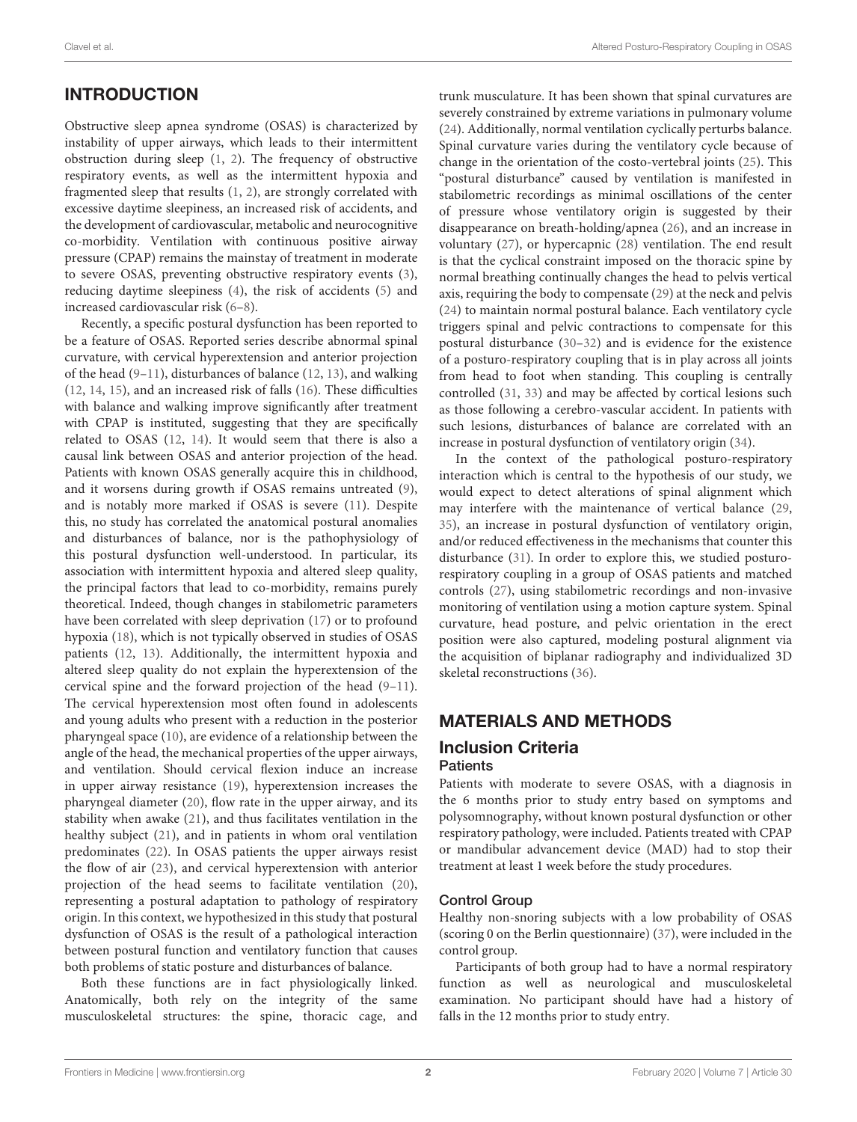#### Clavel et al. Altered Posturo-Respiratory Coupling in OSAS

## INTRODUCTION

Obstructive sleep apnea syndrome (OSAS) is characterized by instability of upper airways, which leads to their intermittent obstruction during sleep [\(1,](#page-7-0) [2\)](#page-7-1). The frequency of obstructive respiratory events, as well as the intermittent hypoxia and fragmented sleep that results [\(1,](#page-7-0) [2\)](#page-7-1), are strongly correlated with excessive daytime sleepiness, an increased risk of accidents, and the development of cardiovascular, metabolic and neurocognitive co-morbidity. Ventilation with continuous positive airway pressure (CPAP) remains the mainstay of treatment in moderate to severe OSAS, preventing obstructive respiratory events [\(3\)](#page-7-2), reducing daytime sleepiness [\(4\)](#page-7-3), the risk of accidents [\(5\)](#page-7-4) and increased cardiovascular risk [\(6](#page-7-5)[–8\)](#page-7-6).

Recently, a specific postural dysfunction has been reported to be a feature of OSAS. Reported series describe abnormal spinal curvature, with cervical hyperextension and anterior projection of the head [\(9](#page-7-7)[–11\)](#page-7-8), disturbances of balance [\(12,](#page-7-9) [13\)](#page-7-10), and walking [\(12,](#page-7-9) [14,](#page-7-11) [15\)](#page-8-0), and an increased risk of falls [\(16\)](#page-8-1). These difficulties with balance and walking improve significantly after treatment with CPAP is instituted, suggesting that they are specifically related to OSAS [\(12,](#page-7-9) [14\)](#page-7-11). It would seem that there is also a causal link between OSAS and anterior projection of the head. Patients with known OSAS generally acquire this in childhood, and it worsens during growth if OSAS remains untreated [\(9\)](#page-7-7), and is notably more marked if OSAS is severe [\(11\)](#page-7-8). Despite this, no study has correlated the anatomical postural anomalies and disturbances of balance, nor is the pathophysiology of this postural dysfunction well-understood. In particular, its association with intermittent hypoxia and altered sleep quality, the principal factors that lead to co-morbidity, remains purely theoretical. Indeed, though changes in stabilometric parameters have been correlated with sleep deprivation [\(17\)](#page-8-2) or to profound hypoxia [\(18\)](#page-8-3), which is not typically observed in studies of OSAS patients [\(12,](#page-7-9) [13\)](#page-7-10). Additionally, the intermittent hypoxia and altered sleep quality do not explain the hyperextension of the cervical spine and the forward projection of the head [\(9–](#page-7-7)[11\)](#page-7-8). The cervical hyperextension most often found in adolescents and young adults who present with a reduction in the posterior pharyngeal space [\(10\)](#page-7-12), are evidence of a relationship between the angle of the head, the mechanical properties of the upper airways, and ventilation. Should cervical flexion induce an increase in upper airway resistance [\(19\)](#page-8-4), hyperextension increases the pharyngeal diameter [\(20\)](#page-8-5), flow rate in the upper airway, and its stability when awake [\(21\)](#page-8-6), and thus facilitates ventilation in the healthy subject [\(21\)](#page-8-6), and in patients in whom oral ventilation predominates [\(22\)](#page-8-7). In OSAS patients the upper airways resist the flow of air [\(23\)](#page-8-8), and cervical hyperextension with anterior projection of the head seems to facilitate ventilation [\(20\)](#page-8-5), representing a postural adaptation to pathology of respiratory origin. In this context, we hypothesized in this study that postural dysfunction of OSAS is the result of a pathological interaction between postural function and ventilatory function that causes both problems of static posture and disturbances of balance.

Both these functions are in fact physiologically linked. Anatomically, both rely on the integrity of the same musculoskeletal structures: the spine, thoracic cage, and

trunk musculature. It has been shown that spinal curvatures are severely constrained by extreme variations in pulmonary volume [\(24\)](#page-8-9). Additionally, normal ventilation cyclically perturbs balance. Spinal curvature varies during the ventilatory cycle because of change in the orientation of the costo-vertebral joints [\(25\)](#page-8-10). This "postural disturbance" caused by ventilation is manifested in stabilometric recordings as minimal oscillations of the center of pressure whose ventilatory origin is suggested by their disappearance on breath-holding/apnea [\(26\)](#page-8-11), and an increase in voluntary [\(27\)](#page-8-12), or hypercapnic [\(28\)](#page-8-13) ventilation. The end result is that the cyclical constraint imposed on the thoracic spine by normal breathing continually changes the head to pelvis vertical axis, requiring the body to compensate [\(29\)](#page-8-14) at the neck and pelvis [\(24\)](#page-8-9) to maintain normal postural balance. Each ventilatory cycle triggers spinal and pelvic contractions to compensate for this postural disturbance [\(30](#page-8-15)[–32\)](#page-8-16) and is evidence for the existence of a posturo-respiratory coupling that is in play across all joints from head to foot when standing. This coupling is centrally controlled [\(31,](#page-8-17) [33\)](#page-8-18) and may be affected by cortical lesions such as those following a cerebro-vascular accident. In patients with such lesions, disturbances of balance are correlated with an increase in postural dysfunction of ventilatory origin [\(34\)](#page-8-19).

In the context of the pathological posturo-respiratory interaction which is central to the hypothesis of our study, we would expect to detect alterations of spinal alignment which may interfere with the maintenance of vertical balance [\(29,](#page-8-14) [35\)](#page-8-20), an increase in postural dysfunction of ventilatory origin, and/or reduced effectiveness in the mechanisms that counter this disturbance [\(31\)](#page-8-17). In order to explore this, we studied posturorespiratory coupling in a group of OSAS patients and matched controls [\(27\)](#page-8-12), using stabilometric recordings and non-invasive monitoring of ventilation using a motion capture system. Spinal curvature, head posture, and pelvic orientation in the erect position were also captured, modeling postural alignment via the acquisition of biplanar radiography and individualized 3D skeletal reconstructions [\(36\)](#page-8-21).

# MATERIALS AND METHODS

#### Inclusion Criteria **Patients**

Patients with moderate to severe OSAS, with a diagnosis in the 6 months prior to study entry based on symptoms and polysomnography, without known postural dysfunction or other respiratory pathology, were included. Patients treated with CPAP or mandibular advancement device (MAD) had to stop their treatment at least 1 week before the study procedures.

#### Control Group

Healthy non-snoring subjects with a low probability of OSAS (scoring 0 on the Berlin questionnaire) [\(37\)](#page-8-22), were included in the control group.

Participants of both group had to have a normal respiratory function as well as neurological and musculoskeletal examination. No participant should have had a history of falls in the 12 months prior to study entry.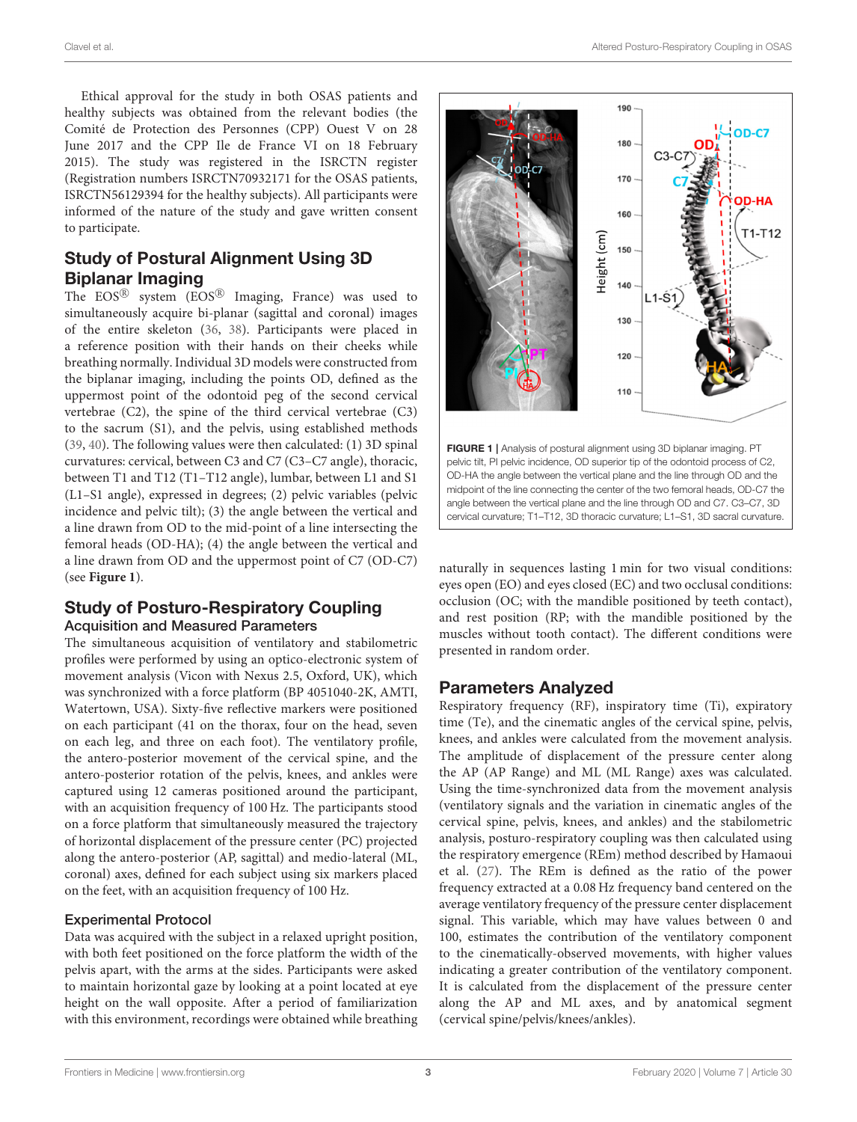Ethical approval for the study in both OSAS patients and healthy subjects was obtained from the relevant bodies (the Comité de Protection des Personnes (CPP) Ouest V on 28 June 2017 and the CPP Ile de France VI on 18 February 2015). The study was registered in the ISRCTN register (Registration numbers ISRCTN70932171 for the OSAS patients, ISRCTN56129394 for the healthy subjects). All participants were informed of the nature of the study and gave written consent to participate.

## Study of Postural Alignment Using 3D Biplanar Imaging

The  $EOS^{\textcircled{\tiny{\textregistered}}}$  system  $(EOS^{\textcircled{\tiny{\textcircled{\tiny\textbackslash}}}}$  Imaging, France) was used to simultaneously acquire bi-planar (sagittal and coronal) images of the entire skeleton [\(36,](#page-8-21) [38\)](#page-8-23). Participants were placed in a reference position with their hands on their cheeks while breathing normally. Individual 3D models were constructed from the biplanar imaging, including the points OD, defined as the uppermost point of the odontoid peg of the second cervical vertebrae (C2), the spine of the third cervical vertebrae (C3) to the sacrum (S1), and the pelvis, using established methods [\(39,](#page-8-24) [40\)](#page-8-25). The following values were then calculated: (1) 3D spinal curvatures: cervical, between C3 and C7 (C3–C7 angle), thoracic, between T1 and T12 (T1–T12 angle), lumbar, between L1 and S1 (L1–S1 angle), expressed in degrees; (2) pelvic variables (pelvic incidence and pelvic tilt); (3) the angle between the vertical and a line drawn from OD to the mid-point of a line intersecting the femoral heads (OD-HA); (4) the angle between the vertical and a line drawn from OD and the uppermost point of C7 (OD-C7) (see **[Figure 1](#page-2-0)**).

#### Study of Posturo-Respiratory Coupling Acquisition and Measured Parameters

The simultaneous acquisition of ventilatory and stabilometric profiles were performed by using an optico-electronic system of movement analysis (Vicon with Nexus 2.5, Oxford, UK), which was synchronized with a force platform (BP 4051040-2K, AMTI, Watertown, USA). Sixty-five reflective markers were positioned on each participant (41 on the thorax, four on the head, seven on each leg, and three on each foot). The ventilatory profile, the antero-posterior movement of the cervical spine, and the antero-posterior rotation of the pelvis, knees, and ankles were captured using 12 cameras positioned around the participant, with an acquisition frequency of 100 Hz. The participants stood on a force platform that simultaneously measured the trajectory of horizontal displacement of the pressure center (PC) projected along the antero-posterior (AP, sagittal) and medio-lateral (ML, coronal) axes, defined for each subject using six markers placed on the feet, with an acquisition frequency of 100 Hz.

#### Experimental Protocol

Data was acquired with the subject in a relaxed upright position, with both feet positioned on the force platform the width of the pelvis apart, with the arms at the sides. Participants were asked to maintain horizontal gaze by looking at a point located at eye height on the wall opposite. After a period of familiarization with this environment, recordings were obtained while breathing



<span id="page-2-0"></span>naturally in sequences lasting 1 min for two visual conditions: eyes open (EO) and eyes closed (EC) and two occlusal conditions: occlusion (OC; with the mandible positioned by teeth contact), and rest position (RP; with the mandible positioned by the muscles without tooth contact). The different conditions were presented in random order.

## Parameters Analyzed

Respiratory frequency (RF), inspiratory time (Ti), expiratory time (Te), and the cinematic angles of the cervical spine, pelvis, knees, and ankles were calculated from the movement analysis. The amplitude of displacement of the pressure center along the AP (AP Range) and ML (ML Range) axes was calculated. Using the time-synchronized data from the movement analysis (ventilatory signals and the variation in cinematic angles of the cervical spine, pelvis, knees, and ankles) and the stabilometric analysis, posturo-respiratory coupling was then calculated using the respiratory emergence (REm) method described by Hamaoui et al. [\(27\)](#page-8-12). The REm is defined as the ratio of the power frequency extracted at a 0.08 Hz frequency band centered on the average ventilatory frequency of the pressure center displacement signal. This variable, which may have values between 0 and 100, estimates the contribution of the ventilatory component to the cinematically-observed movements, with higher values indicating a greater contribution of the ventilatory component. It is calculated from the displacement of the pressure center along the AP and ML axes, and by anatomical segment (cervical spine/pelvis/knees/ankles).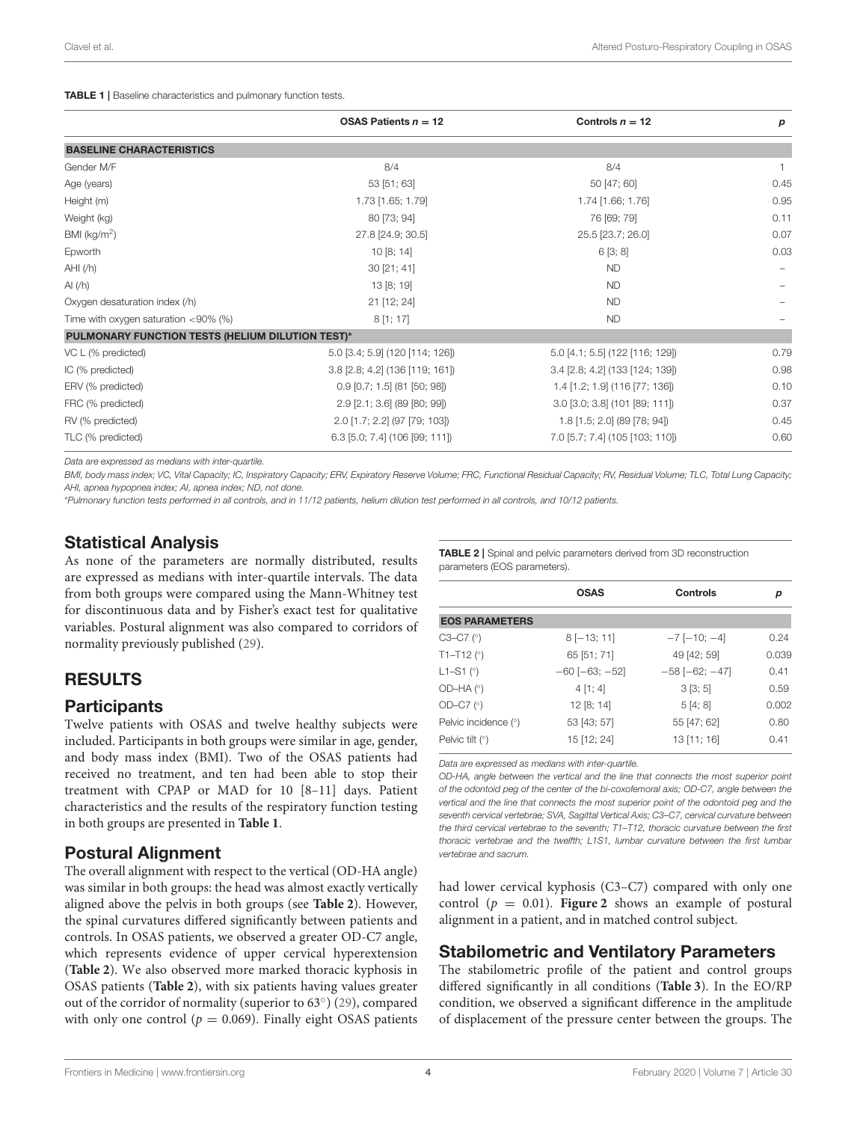<span id="page-3-0"></span>TABLE 1 | Baseline characteristics and pulmonary function tests.

|                                                  | OSAS Patients $n = 12$          | Controls $n = 12$               | p            |
|--------------------------------------------------|---------------------------------|---------------------------------|--------------|
| <b>BASELINE CHARACTERISTICS</b>                  |                                 |                                 |              |
| Gender M/F                                       | 8/4                             | 8/4                             | $\mathbf{1}$ |
| Age (years)                                      | 53 [51; 63]                     | 50 [47; 60]                     | 0.45         |
| Height (m)                                       | 1.73 [1.65; 1.79]               | 1.74 [1.66; 1.76]               | 0.95         |
| Weight (kg)                                      | 80 [73; 94]                     | 76 [69; 79]                     | 0.11         |
| BMI ( $kg/m2$ )                                  | 27.8 [24.9; 30.5]               | 25.5 [23.7; 26.0]               | 0.07         |
| Epworth                                          | 10[8; 14]                       | 6[3; 8]                         | 0.03         |
| AHI(fh)                                          | 30 [21; 41]                     | <b>ND</b>                       |              |
| AI $(h)$                                         | 13 [8; 19]                      | <b>ND</b>                       |              |
| Oxygen desaturation index (/h)                   | 21 [12; 24]                     | <b>ND</b>                       |              |
| Time with oxygen saturation $<90\%$ (%)          | 8[1; 17]                        | <b>ND</b>                       |              |
| PULMONARY FUNCTION TESTS (HELIUM DILUTION TEST)* |                                 |                                 |              |
| VC L (% predicted)                               | 5.0 [3.4; 5.9] (120 [114; 126]) | 5.0 [4.1; 5.5] (122 [116; 129]) | 0.79         |
| IC (% predicted)                                 | 3.8 [2.8; 4.2] (136 [119; 161]) | 3.4 [2.8; 4.2] (133 [124; 139]) | 0.98         |
| ERV (% predicted)                                | $0.9$ [0.7; 1.5] (81 [50; 98])  | 1.4 [1.2; 1.9] (116 [77; 136])  | 0.10         |
| FRC (% predicted)                                | 2.9 [2.1; 3.6] (89 [80; 99])    | 3.0 [3.0; 3.8] (101 [89; 111])  | 0.37         |
| RV (% predicted)                                 | 2.0 [1.7; 2.2] (97 [79; 103])   | 1.8 [1.5; 2.0] (89 [78; 94])    | 0.45         |
| TLC (% predicted)                                | 6.3 [5.0; 7.4] (106 [99; 111])  | 7.0 [5.7; 7.4] (105 [103; 110]) | 0.60         |

Data are expressed as medians with inter-quartile.

BMI, body mass index; VC, Vital Capacity; IC, Inspiratory Capacity; ERV, Expiratory Reserve Volume; FRC, Functional Residual Capacity; RV, Residual Volume; TLC, Total Lung Capacity; AHI, apnea hypopnea index; AI, apnea index; ND, not done.

\*Pulmonary function tests performed in all controls, and in 11/12 patients, helium dilution test performed in all controls, and 10/12 patients.

# Statistical Analysis

As none of the parameters are normally distributed, results are expressed as medians with inter-quartile intervals. The data from both groups were compared using the Mann-Whitney test for discontinuous data and by Fisher's exact test for qualitative variables. Postural alignment was also compared to corridors of normality previously published [\(29\)](#page-8-14).

# RESULTS

#### **Participants**

Twelve patients with OSAS and twelve healthy subjects were included. Participants in both groups were similar in age, gender, and body mass index (BMI). Two of the OSAS patients had received no treatment, and ten had been able to stop their treatment with CPAP or MAD for 10 [8–11] days. Patient characteristics and the results of the respiratory function testing in both groups are presented in **[Table 1](#page-3-0)**.

# Postural Alignment

The overall alignment with respect to the vertical (OD-HA angle) was similar in both groups: the head was almost exactly vertically aligned above the pelvis in both groups (see **[Table 2](#page-3-1)**). However, the spinal curvatures differed significantly between patients and controls. In OSAS patients, we observed a greater OD-C7 angle, which represents evidence of upper cervical hyperextension (**[Table 2](#page-3-1)**). We also observed more marked thoracic kyphosis in OSAS patients (**[Table 2](#page-3-1)**), with six patients having values greater out of the corridor of normality (superior to 63°) [\(29\)](#page-8-14), compared with only one control ( $p = 0.069$ ). Finally eight OSAS patients

<span id="page-3-1"></span>TABLE 2 | Spinal and pelvic parameters derived from 3D reconstruction parameters (EOS parameters).

|                           | <b>OSAS</b>             | Controls                | р     |
|---------------------------|-------------------------|-------------------------|-------|
| <b>EOS PARAMETERS</b>     |                         |                         |       |
| $C3-C7$ ( $^{\circ}$ )    | $8[-13; 11]$            | $-7$ [ $-10$ ; $-4$ ]   | 0.24  |
| $T1 - T12$ ( $^{\circ}$ ) | 65 [51; 71]             | 49 [42; 59]             | 0.039 |
| $L1 - S1$ ( $\circ$ )     | $-60$ [ $-63$ ; $-52$ ] | $-58$ [ $-62$ ; $-47$ ] | 0.41  |
| $OD-HA (°)$               | 4 [1; 4]                | 3[3;5]                  | 0.59  |
| OD-C7 $(°)$               | 12 [8; 14]              | 5[4; 8]                 | 0.002 |
| Pelvic incidence (°)      | 53 [43; 57]             | 55 [47; 62]             | 0.80  |
| Pelvic tilt $(°)$         | 15 [12; 24]             | 13 [11; 16]             | 0.41  |

Data are expressed as medians with inter-quartile.

OD-HA, angle between the vertical and the line that connects the most superior point of the odontoid peg of the center of the bi-coxofemoral axis; OD-C7, angle between the vertical and the line that connects the most superior point of the odontoid peg and the seventh cervical vertebrae; SVA, Sagittal Vertical Axis; C3–C7, cervical curvature between the third cervical vertebrae to the seventh; T1–T12, thoracic curvature between the first thoracic vertebrae and the twelfth; L1S1, lumbar curvature between the first lumbar vertebrae and sacrum.

had lower cervical kyphosis (C3–C7) compared with only one control ( $p = 0.01$ ). **[Figure 2](#page-4-0)** shows an example of postural alignment in a patient, and in matched control subject.

## Stabilometric and Ventilatory Parameters

The stabilometric profile of the patient and control groups differed significantly in all conditions (**[Table 3](#page-5-0)**). In the EO/RP condition, we observed a significant difference in the amplitude of displacement of the pressure center between the groups. The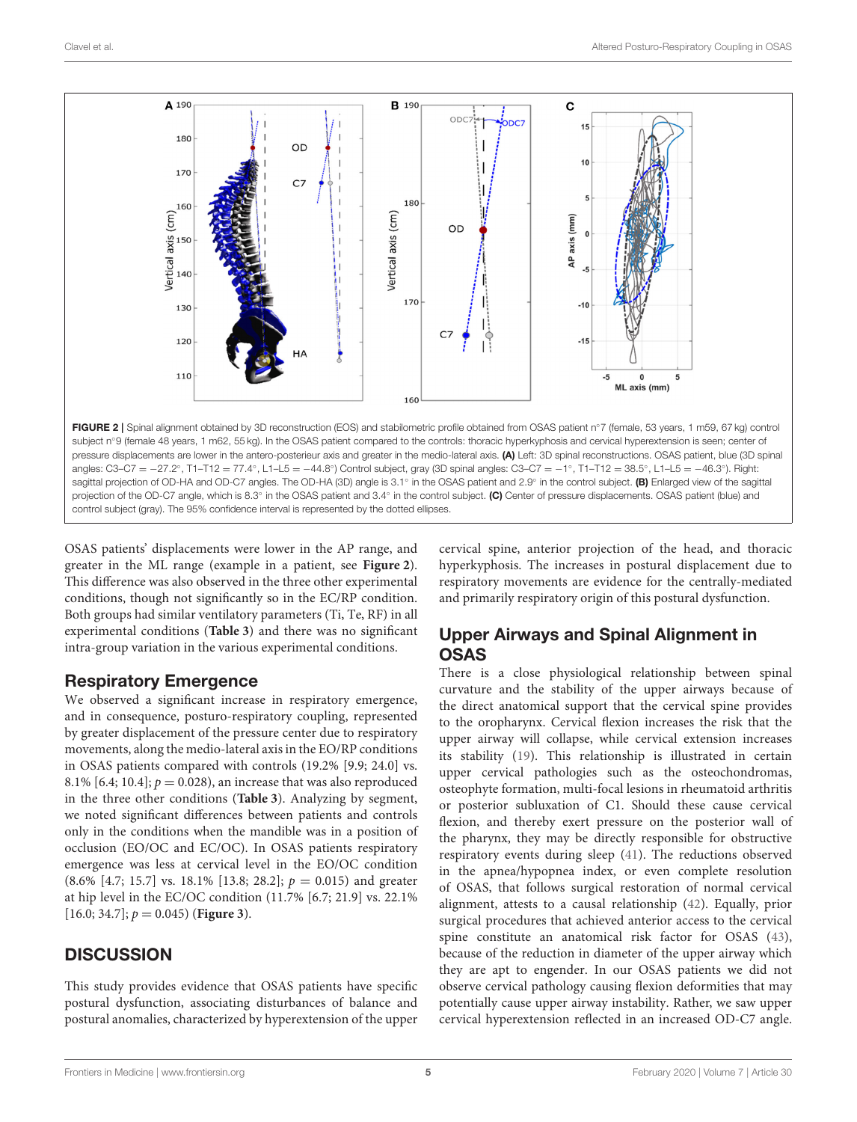

<span id="page-4-0"></span>OSAS patients' displacements were lower in the AP range, and greater in the ML range (example in a patient, see **[Figure 2](#page-4-0)**). This difference was also observed in the three other experimental conditions, though not significantly so in the EC/RP condition. Both groups had similar ventilatory parameters (Ti, Te, RF) in all experimental conditions (**[Table 3](#page-5-0)**) and there was no significant intra-group variation in the various experimental conditions.

# Respiratory Emergence

We observed a significant increase in respiratory emergence, and in consequence, posturo-respiratory coupling, represented by greater displacement of the pressure center due to respiratory movements, along the medio-lateral axis in the EO/RP conditions in OSAS patients compared with controls (19.2% [9.9; 24.0] vs. 8.1% [6.4; 10.4];  $p = 0.028$ ), an increase that was also reproduced in the three other conditions (**[Table 3](#page-5-0)**). Analyzing by segment, we noted significant differences between patients and controls only in the conditions when the mandible was in a position of occlusion (EO/OC and EC/OC). In OSAS patients respiratory emergence was less at cervical level in the EO/OC condition  $(8.6\% \; [4.7; 15.7] \; \text{vs.} \; 18.1\% \; [13.8; 28.2]; p = 0.015)$  and greater at hip level in the EC/OC condition (11.7% [6.7; 21.9] vs. 22.1% [16.0; 34.7];  $p = 0.045$ ) (**[Figure 3](#page-6-0)**).

# **DISCUSSION**

This study provides evidence that OSAS patients have specific postural dysfunction, associating disturbances of balance and postural anomalies, characterized by hyperextension of the upper cervical spine, anterior projection of the head, and thoracic hyperkyphosis. The increases in postural displacement due to respiratory movements are evidence for the centrally-mediated and primarily respiratory origin of this postural dysfunction.

# Upper Airways and Spinal Alignment in **OSAS**

There is a close physiological relationship between spinal curvature and the stability of the upper airways because of the direct anatomical support that the cervical spine provides to the oropharynx. Cervical flexion increases the risk that the upper airway will collapse, while cervical extension increases its stability [\(19\)](#page-8-4). This relationship is illustrated in certain upper cervical pathologies such as the osteochondromas, osteophyte formation, multi-focal lesions in rheumatoid arthritis or posterior subluxation of C1. Should these cause cervical flexion, and thereby exert pressure on the posterior wall of the pharynx, they may be directly responsible for obstructive respiratory events during sleep [\(41\)](#page-8-26). The reductions observed in the apnea/hypopnea index, or even complete resolution of OSAS, that follows surgical restoration of normal cervical alignment, attests to a causal relationship [\(42\)](#page-8-27). Equally, prior surgical procedures that achieved anterior access to the cervical spine constitute an anatomical risk factor for OSAS [\(43\)](#page-8-28), because of the reduction in diameter of the upper airway which they are apt to engender. In our OSAS patients we did not observe cervical pathology causing flexion deformities that may potentially cause upper airway instability. Rather, we saw upper cervical hyperextension reflected in an increased OD-C7 angle.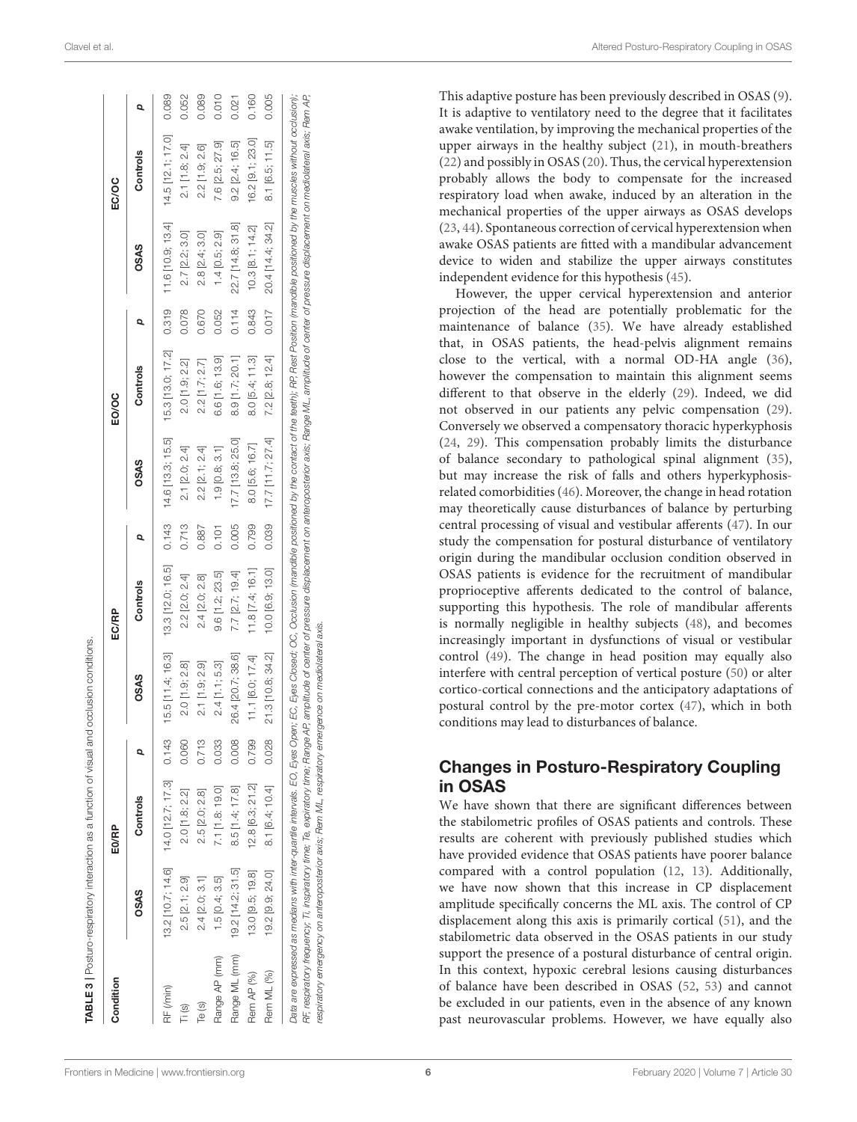This adaptive posture has been previously described in OSAS ( [9\)](#page-7-7). It is adaptive to ventilatory need to the degree that it facilitates awake ventilation, by improving the mechanical properties of the upper airways in the healthy subject [\(21\)](#page-8-6), in mouth-breathers [\(22\)](#page-8-7) and possibly in OSAS [\(20\)](#page-8-5). Thus, the cervical hyperextension probably allows the body to compensate for the increased respiratory load when awake, induced by an alteration in the mechanical properties of the upper airways as OSAS develops [\(23,](#page-8-8) [44\)](#page-8-29). Spontaneous correction of cervical hyperextension when awake OSAS patients are fitted with a mandibular advancement device to widen and stabilize the upper airways constitutes independent evidence for this hypothesis [\(45\)](#page-8-30).

However, the upper cervical hyperextension and anterior projection of the head are potentially problematic for the maintenance of balance [\(35\)](#page-8-20). We have already established that, in OSAS patients, the head-pelvis alignment remains close to the vertical, with a normal OD-HA angle [\(36\)](#page-8-21), however the compensation to maintain this alignment seems different to that observe in the elderly [\(29\)](#page-8-14). Indeed, we did not observed in our patients any pelvic compensation [\(29\)](#page-8-14). Conversely we observed a compensatory thoracic hyperkyphosis [\(24,](#page-8-9) [29\)](#page-8-14). This compensation probably limits the disturbance of balance secondary to pathological spinal alignment [\(35\)](#page-8-20), but may increase the risk of falls and others hyperkyphosisrelated comorbidities [\(46\)](#page-8-31). Moreover, the change in head rotation may theoretically cause disturbances of balance by perturbin g central processing of visual and vestibular afferents [\(47\)](#page-8-32). In our study the compensation for postural disturbance of ventilatory origin during the mandibular occlusion condition observed i n OSAS patients is evidence for the recruitment of mandibular proprioceptive afferents dedicated to the control of balance, supporting this hypothesis. The role of mandibular afferents is normally negligible in healthy subjects [\(48\)](#page-8-33), and becomes increasingly important in dysfunctions of visual or vestibular control [\(49\)](#page-8-34). The change in head position may equally also interfere with central perception of vertical posture [\(50\)](#page-8-35) or alter cortico-cortical connections and the anticipatory adaptations of postural control by the pre-motor cortex [\(47\)](#page-8-32), which in both conditions may lead to disturbances of balance.

## Changes in Posturo-Respiratory Coupling in OSAS

<span id="page-5-0"></span>We have shown that there are significant differences between the stabilometric profiles of OSAS patients and controls. Thes e results are coherent with previously published studies which have provided evidence that OSAS patients have poorer balance compared with a control population [\(12](#page-7-9) , [13\)](#page-7-10). Additionally, we have now shown that this increase in CP displacement amplitude specifically concerns the ML axis. The control of CP displacement along this axis is primarily cortical [\(51\)](#page-8-36), and the stabilometric data observed in the OSAS patients in our study support the presence of a postural disturbance of central origin. In this context, hypoxic cerebral lesions causing disturbances of balance have been described in OSAS [\(52](#page-8-37) , [53\)](#page-8-38) and cannot be excluded in our patients, even in the absence of any known past neurovascular problems. However, we have equally also

| j<br>٦<br>Í<br>¢<br>$\overline{a}$                                   |
|----------------------------------------------------------------------|
| $\ddot{\phantom{a}}$<br>١<br>١<br>¢<br>j                             |
| $\overline{a}$<br>$\overline{ }$<br>1                                |
| Ś<br>ļ<br>S<br>١                                                     |
| Ì<br>)                                                               |
| I<br>¢<br>i<br>i<br>١<br>221 H D                                     |
| S                                                                    |
| ļ                                                                    |
| ļ<br>¢<br>١<br>i<br>I<br>¢                                           |
| l<br>Ì<br>ì<br>$\frac{1}{2}$<br>b<br>ı<br>ì<br>Ï<br>١<br>j<br>j<br>١ |
|                                                                      |
| 21 E 3 I D.<br>J<br>l<br>ı<br>I                                      |

| Condition             |                   | E <sub>0/RP</sub>                           |       |                   | EC/RP                |       |                   | <b>EO/OC</b>        |       |                   | <b>EC/OC</b>        |       |
|-----------------------|-------------------|---------------------------------------------|-------|-------------------|----------------------|-------|-------------------|---------------------|-------|-------------------|---------------------|-------|
|                       | <b>OSAS</b>       | Controls                                    |       | <b>OSAS</b>       | Controls             |       | <b>OSAS</b>       | Controls            | Q     | <b>OSAS</b>       | Controls            | Q     |
| RF (/min)             |                   | $13.2$ $[10.7; 14.6]$ $14.0$ $[12.7; 17.3]$ | 0.143 | 15.5 [11.4; 16.3] | 13.3 [12.0; 16.5]    | 0.143 | 14.6 [13.3; 15.5] | 15.3 [13.0; 17.2]   | 0.319 | 11.6 [10.9; 13.4] | $14.5$ [12.1; 17.0] | 0.089 |
| $\overline{\top}$ (s) | 2.5 [2.1; 2.9]    | 2.0 [1.8; 2.2]                              | 0.060 | 2.0 [1.9; 2.8]    | 2.2 [2.0; 2.4]       | 0.713 | 2.1 [2.0; 2.4]    | 2.0 [1.9; 2.2]      | 0.078 | 2.7 [2.2; 3.0]    | 2.1 [1.8; 2.4]      | 0.052 |
| Te (s)                | 2.4 [2.0; 3.1]    | 2.5 [2.0; 2.8]                              | 0.713 | 2.1 [1.9; 2.9]    | 2.4 2.0; 2.8         | 0.887 | 2.2 [2.1; 2.4]    | $2.2$ [1.7; $2.7$ ] | 0.670 | 2.8 [2.4; 3.0]    | 2.2 [1.9; 2.6]      | 0.089 |
| Range AP (mm)         | 1.5 [0.4; 3.5]    | 7.1 [1.8: 19.0]                             | 0.033 | $2.4$ [1.1; 5.3]  | 9.6 [1.2; 23.5]      | 0.101 | $1.9$ [0.8; 3.1]  | 6.6 [1.6; 13.9]     | 0.052 | $1.4$ [0.5; 2.9]  | 7.6 [2.5; 27.9]     | 0.010 |
| Range ML (mm)         | 19.2 [14.2; 31.5] | 8.5 [1.4; 17.8]                             | 0.008 | 26.4 [20.7; 38.6] | 7.7 [2.7; 19.4]      | 0.005 | 17.7 [13.8; 25.0] | 8.9 [1.7; 20.1]     | 0.114 | 22.7 [14.8; 31.8] | 9.2 [2.4; 16.5]     | 0.021 |
| Rem AP (%)            | 13.0 9.5; 19.8    | 12.8 [6.3; 21.2]                            | 0.799 | 11.1 [6.0; 17.4]  | $11.8$ $[7.4; 16.1]$ | 0.799 | 8.0 [5.6; 16.7]   | 8.0 [5.4; 11.3]     | 0.843 | 10.3 [8.1; 14.2]  | 16.2 [9.1; 23.0]    | 0.160 |
| Rem ML (%)            | 19.2 [9.9; 24.0]  | 8.1 [6.4; 10.4]                             | 0.028 | 21.3 [10.8; 34.2] | 10.0 [6.9; 13.0]     | 0.039 | 17.7 [11.7; 27.4] | 7.2 [2.8; 12.4]     | 0.017 | 20.4 [14.4; 34.2] | 8.1 [6.5; 11.5]     | 0.005 |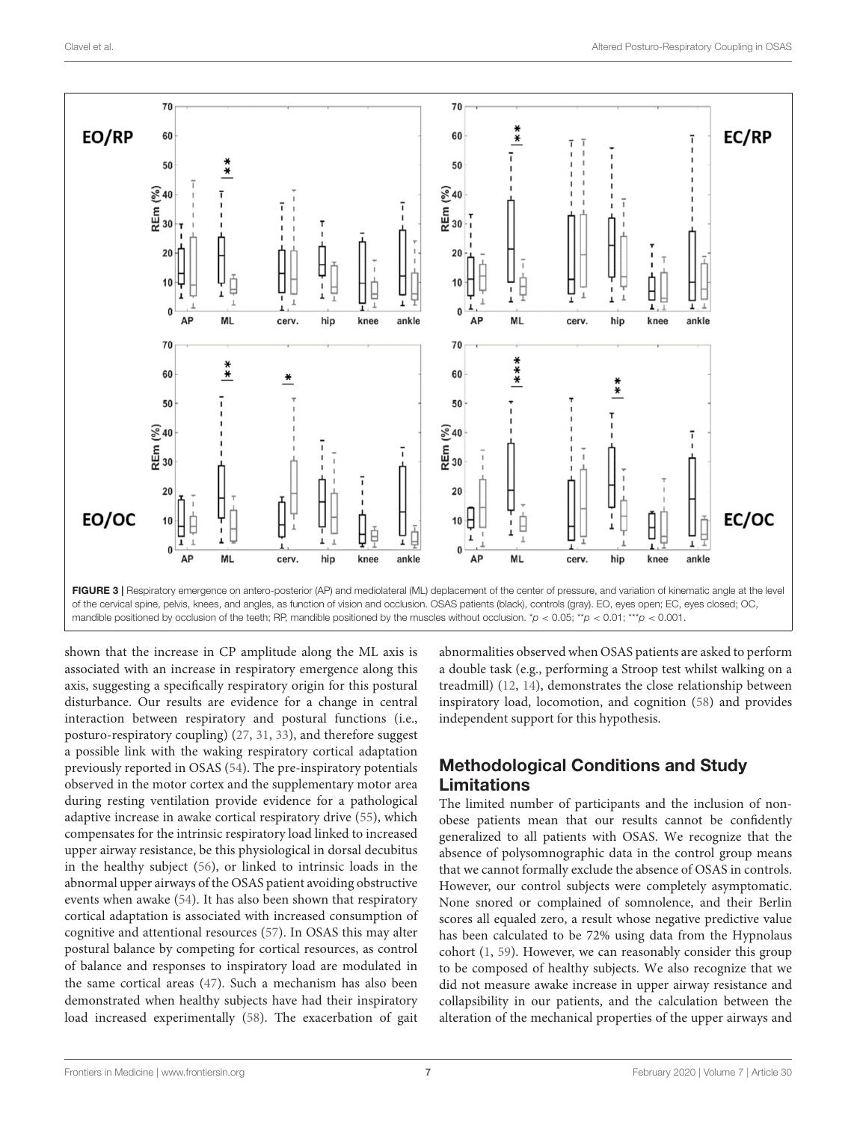

<span id="page-6-0"></span>shown that the increase in CP amplitude along the ML axis is associated with an increase in respiratory emergence along this axis, suggesting a specifically respiratory origin for this postural disturbance. Our results are evidence for a change in central interaction between respiratory and postural functions (i.e., posturo-respiratory coupling) [\(27,](#page-8-12) [31,](#page-8-17) [33\)](#page-8-18), and therefore suggest a possible link with the waking respiratory cortical adaptation previously reported in OSAS [\(54\)](#page-9-0). The pre-inspiratory potentials observed in the motor cortex and the supplementary motor area during resting ventilation provide evidence for a pathological adaptive increase in awake cortical respiratory drive [\(55\)](#page-9-1), which compensates for the intrinsic respiratory load linked to increased upper airway resistance, be this physiological in dorsal decubitus in the healthy subject [\(56\)](#page-9-2), or linked to intrinsic loads in the abnormal upper airways of the OSAS patient avoiding obstructive events when awake [\(54\)](#page-9-0). It has also been shown that respiratory cortical adaptation is associated with increased consumption of cognitive and attentional resources [\(57\)](#page-9-3). In OSAS this may alter postural balance by competing for cortical resources, as control of balance and responses to inspiratory load are modulated in the same cortical areas [\(47\)](#page-8-32). Such a mechanism has also been demonstrated when healthy subjects have had their inspiratory load increased experimentally [\(58\)](#page-9-4). The exacerbation of gait

abnormalities observed when OSAS patients are asked to perform a double task (e.g., performing a Stroop test whilst walking on a treadmill) [\(12,](#page-7-9) [14\)](#page-7-11), demonstrates the close relationship between inspiratory load, locomotion, and cognition [\(58\)](#page-9-4) and provides independent support for this hypothesis.

# Methodological Conditions and Study Limitations

The limited number of participants and the inclusion of nonobese patients mean that our results cannot be confidently generalized to all patients with OSAS. We recognize that the absence of polysomnographic data in the control group means that we cannot formally exclude the absence of OSAS in controls. However, our control subjects were completely asymptomatic. None snored or complained of somnolence, and their Berlin scores all equaled zero, a result whose negative predictive value has been calculated to be 72% using data from the Hypnolaus cohort [\(1,](#page-7-0) [59\)](#page-9-5). However, we can reasonably consider this group to be composed of healthy subjects. We also recognize that we did not measure awake increase in upper airway resistance and collapsibility in our patients, and the calculation between the alteration of the mechanical properties of the upper airways and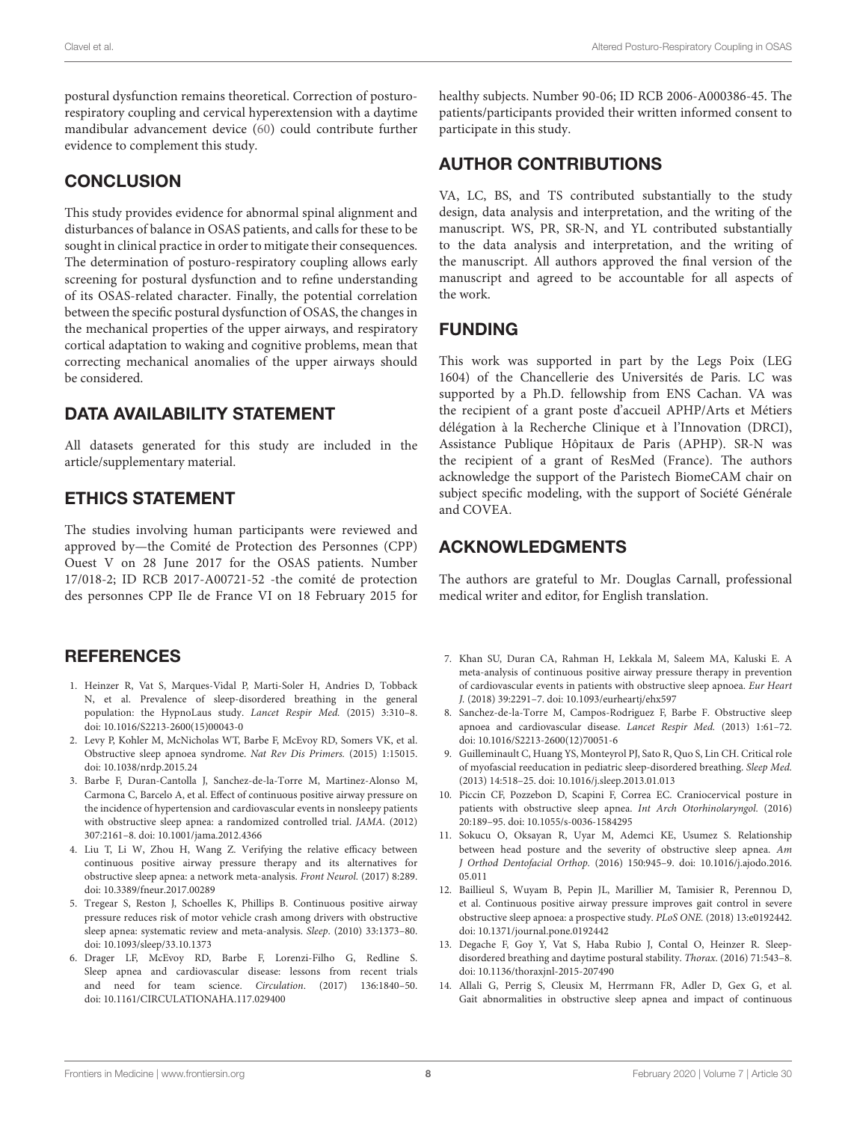postural dysfunction remains theoretical. Correction of posturorespiratory coupling and cervical hyperextension with a daytime mandibular advancement device [\(60\)](#page-9-6) could contribute further evidence to complement this study.

#### **CONCLUSION**

This study provides evidence for abnormal spinal alignment and disturbances of balance in OSAS patients, and calls for these to be sought in clinical practice in order to mitigate their consequences. The determination of posturo-respiratory coupling allows early screening for postural dysfunction and to refine understanding of its OSAS-related character. Finally, the potential correlation between the specific postural dysfunction of OSAS, the changes in the mechanical properties of the upper airways, and respiratory cortical adaptation to waking and cognitive problems, mean that correcting mechanical anomalies of the upper airways should be considered.

#### DATA AVAILABILITY STATEMENT

All datasets generated for this study are included in the article/supplementary material.

#### ETHICS STATEMENT

The studies involving human participants were reviewed and approved by—the Comité de Protection des Personnes (CPP) Ouest V on 28 June 2017 for the OSAS patients. Number 17/018-2; ID RCB 2017-A00721-52 -the comité de protection des personnes CPP Ile de France VI on 18 February 2015 for

## **REFERENCES**

- <span id="page-7-0"></span>1. Heinzer R, Vat S, Marques-Vidal P, Marti-Soler H, Andries D, Tobback N, et al. Prevalence of sleep-disordered breathing in the general population: the HypnoLaus study. Lancet Respir Med. (2015) 3:310–8. doi: [10.1016/S2213-2600\(15\)00043-0](https://doi.org/10.1016/S2213-2600(15)00043-0)
- <span id="page-7-1"></span>2. Levy P, Kohler M, McNicholas WT, Barbe F, McEvoy RD, Somers VK, et al. Obstructive sleep apnoea syndrome. Nat Rev Dis Primers. (2015) 1:15015. doi: [10.1038/nrdp.2015.24](https://doi.org/10.1038/nrdp.2015.24)
- <span id="page-7-2"></span>3. Barbe F, Duran-Cantolla J, Sanchez-de-la-Torre M, Martinez-Alonso M, Carmona C, Barcelo A, et al. Effect of continuous positive airway pressure on the incidence of hypertension and cardiovascular events in nonsleepy patients with obstructive sleep apnea: a randomized controlled trial. JAMA. (2012) 307:2161–8. doi: [10.1001/jama.2012.4366](https://doi.org/10.1001/jama.2012.4366)
- <span id="page-7-3"></span>4. Liu T, Li W, Zhou H, Wang Z. Verifying the relative efficacy between continuous positive airway pressure therapy and its alternatives for obstructive sleep apnea: a network meta-analysis. Front Neurol. (2017) 8:289. doi: [10.3389/fneur.2017.00289](https://doi.org/10.3389/fneur.2017.00289)
- <span id="page-7-4"></span>5. Tregear S, Reston J, Schoelles K, Phillips B. Continuous positive airway pressure reduces risk of motor vehicle crash among drivers with obstructive sleep apnea: systematic review and meta-analysis. Sleep. (2010) 33:1373–80. doi: [10.1093/sleep/33.10.1373](https://doi.org/10.1093/sleep/33.10.1373)
- <span id="page-7-5"></span>6. Drager LF, McEvoy RD, Barbe F, Lorenzi-Filho G, Redline S. Sleep apnea and cardiovascular disease: lessons from recent trials and need for team science. Circulation. (2017) 136:1840–50. doi: [10.1161/CIRCULATIONAHA.117.029400](https://doi.org/10.1161/CIRCULATIONAHA.117.029400)

healthy subjects. Number 90-06; ID RCB 2006-A000386-45. The patients/participants provided their written informed consent to participate in this study.

# AUTHOR CONTRIBUTIONS

VA, LC, BS, and TS contributed substantially to the study design, data analysis and interpretation, and the writing of the manuscript. WS, PR, SR-N, and YL contributed substantially to the data analysis and interpretation, and the writing of the manuscript. All authors approved the final version of the manuscript and agreed to be accountable for all aspects of the work.

#### FUNDING

This work was supported in part by the Legs Poix (LEG 1604) of the Chancellerie des Universités de Paris. LC was supported by a Ph.D. fellowship from ENS Cachan. VA was the recipient of a grant poste d'accueil APHP/Arts et Métiers délégation à la Recherche Clinique et à l'Innovation (DRCI), Assistance Publique Hôpitaux de Paris (APHP). SR-N was the recipient of a grant of ResMed (France). The authors acknowledge the support of the Paristech BiomeCAM chair on subject specific modeling, with the support of Société Générale and COVEA.

#### ACKNOWLEDGMENTS

The authors are grateful to Mr. Douglas Carnall, professional medical writer and editor, for English translation.

- 7. Khan SU, Duran CA, Rahman H, Lekkala M, Saleem MA, Kaluski E. A meta-analysis of continuous positive airway pressure therapy in prevention of cardiovascular events in patients with obstructive sleep apnoea. Eur Heart J. (2018) 39:2291–7. doi: [10.1093/eurheartj/ehx597](https://doi.org/10.1093/eurheartj/ehx597)
- <span id="page-7-6"></span>8. Sanchez-de-la-Torre M, Campos-Rodriguez F, Barbe F. Obstructive sleep apnoea and cardiovascular disease. Lancet Respir Med. (2013) 1:61–72. doi: [10.1016/S2213-2600\(12\)70051-6](https://doi.org/10.1016/S2213-2600(12)70051-6)
- <span id="page-7-7"></span>9. Guilleminault C, Huang YS, Monteyrol PJ, Sato R, Quo S, Lin CH. Critical role of myofascial reeducation in pediatric sleep-disordered breathing. Sleep Med. (2013) 14:518–25. doi: [10.1016/j.sleep.2013.01.013](https://doi.org/10.1016/j.sleep.2013.01.013)
- <span id="page-7-12"></span>10. Piccin CF, Pozzebon D, Scapini F, Correa EC. Craniocervical posture in patients with obstructive sleep apnea. Int Arch Otorhinolaryngol. (2016) 20:189–95. doi: [10.1055/s-0036-1584295](https://doi.org/10.1055/s-0036-1584295)
- <span id="page-7-8"></span>11. Sokucu O, Oksayan R, Uyar M, Ademci KE, Usumez S. Relationship between head posture and the severity of obstructive sleep apnea. Am J Orthod Dentofacial Orthop. [\(2016\) 150:945–9. doi: 10.1016/j.ajodo.2016.](https://doi.org/10.1016/j.ajodo.2016.05.011) 05.011
- <span id="page-7-9"></span>12. Baillieul S, Wuyam B, Pepin JL, Marillier M, Tamisier R, Perennou D, et al. Continuous positive airway pressure improves gait control in severe obstructive sleep apnoea: a prospective study. PLoS ONE. (2018) 13:e0192442. doi: [10.1371/journal.pone.0192442](https://doi.org/10.1371/journal.pone.0192442)
- <span id="page-7-10"></span>13. Degache F, Goy Y, Vat S, Haba Rubio J, Contal O, Heinzer R. Sleepdisordered breathing and daytime postural stability. Thorax. (2016) 71:543–8. doi: [10.1136/thoraxjnl-2015-207490](https://doi.org/10.1136/thoraxjnl-2015-207490)
- <span id="page-7-11"></span>14. Allali G, Perrig S, Cleusix M, Herrmann FR, Adler D, Gex G, et al. Gait abnormalities in obstructive sleep apnea and impact of continuous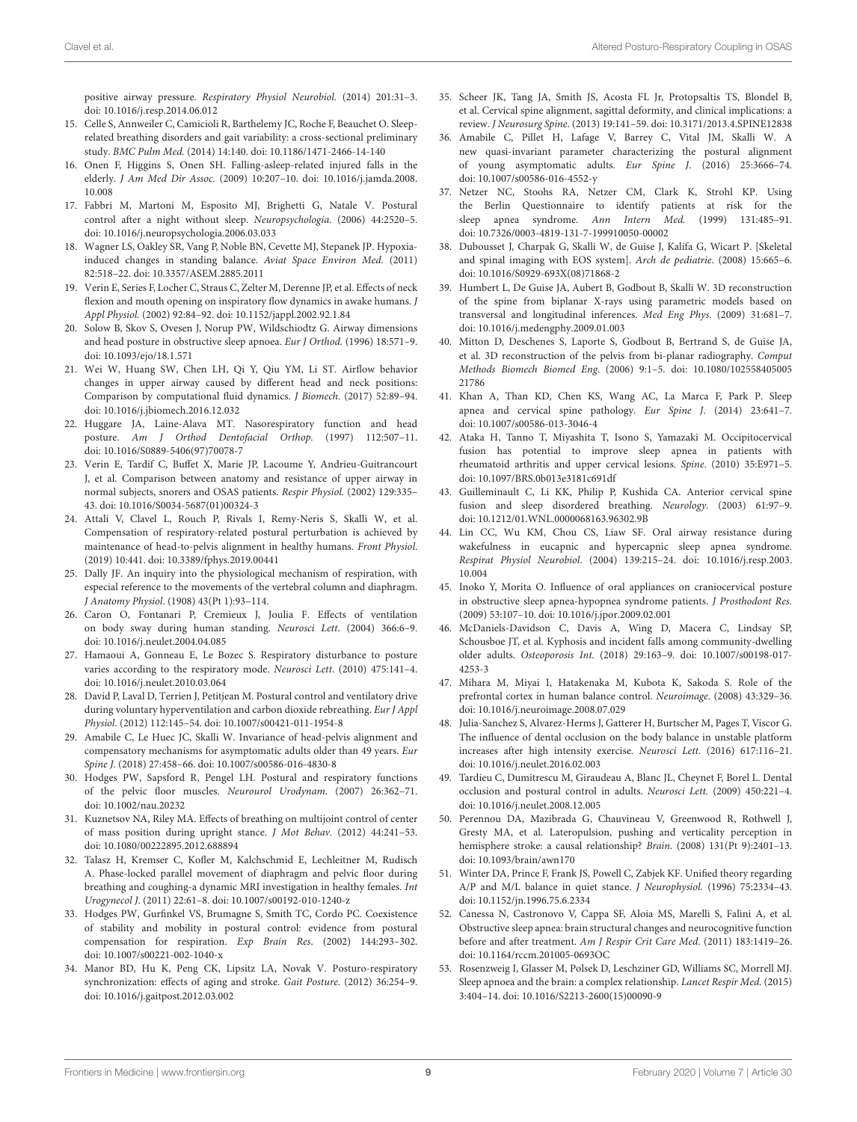positive airway pressure. Respiratory Physiol Neurobiol. (2014) 201:31–3. doi: [10.1016/j.resp.2014.06.012](https://doi.org/10.1016/j.resp.2014.06.012)

- <span id="page-8-0"></span>15. Celle S, Annweiler C, Camicioli R, Barthelemy JC, Roche F, Beauchet O. Sleeprelated breathing disorders and gait variability: a cross-sectional preliminary study. BMC Pulm Med. (2014) 14:140. doi: [10.1186/1471-2466-14-140](https://doi.org/10.1186/1471-2466-14-140)
- <span id="page-8-1"></span>16. Onen F, Higgins S, Onen SH. Falling-asleep-related injured falls in the elderly. J Am Med Dir Assoc. [\(2009\) 10:207–10. doi: 10.1016/j.jamda.2008.](https://doi.org/10.1016/j.jamda.2008.10.008) 10.008
- <span id="page-8-2"></span>17. Fabbri M, Martoni M, Esposito MJ, Brighetti G, Natale V. Postural control after a night without sleep. Neuropsychologia. (2006) 44:2520–5. doi: [10.1016/j.neuropsychologia.2006.03.033](https://doi.org/10.1016/j.neuropsychologia.2006.03.033)
- <span id="page-8-3"></span>18. Wagner LS, Oakley SR, Vang P, Noble BN, Cevette MJ, Stepanek JP. Hypoxiainduced changes in standing balance. Aviat Space Environ Med. (2011) 82:518–22. doi: [10.3357/ASEM.2885.2011](https://doi.org/10.3357/ASEM.2885.2011)
- <span id="page-8-4"></span>19. Verin E, Series F, Locher C, Straus C, Zelter M, Derenne JP, et al. Effects of neck flexion and mouth opening on inspiratory flow dynamics in awake humans. J Appl Physiol. (2002) 92:84–92. doi: [10.1152/jappl.2002.92.1.84](https://doi.org/10.1152/jappl.2002.92.1.84)
- <span id="page-8-5"></span>20. Solow B, Skov S, Ovesen J, Norup PW, Wildschiodtz G. Airway dimensions and head posture in obstructive sleep apnoea. Eur J Orthod. (1996) 18:571–9. doi: [10.1093/ejo/18.1.571](https://doi.org/10.1093/ejo/18.1.571)
- <span id="page-8-6"></span>21. Wei W, Huang SW, Chen LH, Qi Y, Qiu YM, Li ST. Airflow behavior changes in upper airway caused by different head and neck positions: Comparison by computational fluid dynamics. J Biomech. (2017) 52:89–94. doi: [10.1016/j.jbiomech.2016.12.032](https://doi.org/10.1016/j.jbiomech.2016.12.032)
- <span id="page-8-7"></span>22. Huggare JA, Laine-Alava MT. Nasorespiratory function and head posture. Am J Orthod Dentofacial Orthop. (1997) 112:507–11. doi: [10.1016/S0889-5406\(97\)70078-7](https://doi.org/10.1016/S0889-5406(97)70078-7)
- <span id="page-8-8"></span>23. Verin E, Tardif C, Buffet X, Marie JP, Lacoume Y, Andrieu-Guitrancourt J, et al. Comparison between anatomy and resistance of upper airway in normal subjects, snorers and OSAS patients. Respir Physiol. (2002) 129:335– 43. doi: [10.1016/S0034-5687\(01\)00324-3](https://doi.org/10.1016/S0034-5687(01)00324-3)
- <span id="page-8-9"></span>24. Attali V, Clavel L, Rouch P, Rivals I, Remy-Neris S, Skalli W, et al. Compensation of respiratory-related postural perturbation is achieved by maintenance of head-to-pelvis alignment in healthy humans. Front Physiol. (2019) 10:441. doi: [10.3389/fphys.2019.00441](https://doi.org/10.3389/fphys.2019.00441)
- <span id="page-8-10"></span>25. Dally JF. An inquiry into the physiological mechanism of respiration, with especial reference to the movements of the vertebral column and diaphragm. J Anatomy Physiol. (1908) 43(Pt 1):93–114.
- <span id="page-8-11"></span>26. Caron O, Fontanari P, Cremieux J, Joulia F. Effects of ventilation on body sway during human standing. Neurosci Lett. (2004) 366:6–9. doi: [10.1016/j.neulet.2004.04.085](https://doi.org/10.1016/j.neulet.2004.04.085)
- <span id="page-8-12"></span>27. Hamaoui A, Gonneau E, Le Bozec S. Respiratory disturbance to posture varies according to the respiratory mode. Neurosci Lett. (2010) 475:141–4. doi: [10.1016/j.neulet.2010.03.064](https://doi.org/10.1016/j.neulet.2010.03.064)
- <span id="page-8-13"></span>28. David P, Laval D, Terrien J, Petitjean M. Postural control and ventilatory drive during voluntary hyperventilation and carbon dioxide rebreathing. Eur J Appl Physiol. (2012) 112:145–54. doi: [10.1007/s00421-011-1954-8](https://doi.org/10.1007/s00421-011-1954-8)
- <span id="page-8-14"></span>29. Amabile C, Le Huec JC, Skalli W. Invariance of head-pelvis alignment and compensatory mechanisms for asymptomatic adults older than 49 years. Eur Spine J. (2018) 27:458–66. doi: [10.1007/s00586-016-4830-8](https://doi.org/10.1007/s00586-016-4830-8)
- <span id="page-8-15"></span>30. Hodges PW, Sapsford R, Pengel LH. Postural and respiratory functions of the pelvic floor muscles. Neurourol Urodynam. (2007) 26:362–71. doi: [10.1002/nau.20232](https://doi.org/10.1002/nau.20232)
- <span id="page-8-17"></span>31. Kuznetsov NA, Riley MA. Effects of breathing on multijoint control of center of mass position during upright stance. J Mot Behav. (2012) 44:241–53. doi: [10.1080/00222895.2012.688894](https://doi.org/10.1080/00222895.2012.688894)
- <span id="page-8-16"></span>32. Talasz H, Kremser C, Kofler M, Kalchschmid E, Lechleitner M, Rudisch A. Phase-locked parallel movement of diaphragm and pelvic floor during breathing and coughing-a dynamic MRI investigation in healthy females. Int Urogynecol J. (2011) 22:61–8. doi: [10.1007/s00192-010-1240-z](https://doi.org/10.1007/s00192-010-1240-z)
- <span id="page-8-18"></span>33. Hodges PW, Gurfinkel VS, Brumagne S, Smith TC, Cordo PC. Coexistence of stability and mobility in postural control: evidence from postural compensation for respiration. Exp Brain Res. (2002) 144:293–302. doi: [10.1007/s00221-002-1040-x](https://doi.org/10.1007/s00221-002-1040-x)
- <span id="page-8-19"></span>34. Manor BD, Hu K, Peng CK, Lipsitz LA, Novak V. Posturo-respiratory synchronization: effects of aging and stroke. Gait Posture. (2012) 36:254–9. doi: [10.1016/j.gaitpost.2012.03.002](https://doi.org/10.1016/j.gaitpost.2012.03.002)
- <span id="page-8-20"></span>35. Scheer JK, Tang JA, Smith JS, Acosta FL Jr, Protopsaltis TS, Blondel B, et al. Cervical spine alignment, sagittal deformity, and clinical implications: a review. J Neurosurg Spine. (2013) 19:141–59. doi: [10.3171/2013.4.SPINE12838](https://doi.org/10.3171/2013.4.SPINE12838)
- <span id="page-8-21"></span>36. Amabile C, Pillet H, Lafage V, Barrey C, Vital JM, Skalli W. A new quasi-invariant parameter characterizing the postural alignment of young asymptomatic adults. Eur Spine J. (2016) 25:3666–74. doi: [10.1007/s00586-016-4552-y](https://doi.org/10.1007/s00586-016-4552-y)
- <span id="page-8-22"></span>37. Netzer NC, Stoohs RA, Netzer CM, Clark K, Strohl KP. Using the Berlin Questionnaire to identify patients at risk for the sleep apnea syndrome. Ann Intern Med. (1999) 131:485–91. doi: [10.7326/0003-4819-131-7-199910050-00002](https://doi.org/10.7326/0003-4819-131-7-199910050-00002)
- <span id="page-8-23"></span>38. Dubousset J, Charpak G, Skalli W, de Guise J, Kalifa G, Wicart P. [Skeletal and spinal imaging with EOS system]. Arch de pediatrie. (2008) 15:665–6. doi: [10.1016/S0929-693X\(08\)71868-2](https://doi.org/10.1016/S0929-693X(08)71868-2)
- <span id="page-8-24"></span>39. Humbert L, De Guise JA, Aubert B, Godbout B, Skalli W. 3D reconstruction of the spine from biplanar X-rays using parametric models based on transversal and longitudinal inferences. Med Eng Phys. (2009) 31:681–7. doi: [10.1016/j.medengphy.2009.01.003](https://doi.org/10.1016/j.medengphy.2009.01.003)
- <span id="page-8-25"></span>40. Mitton D, Deschenes S, Laporte S, Godbout B, Bertrand S, de Guise JA, et al. 3D reconstruction of the pelvis from bi-planar radiography. Comput Methods Biomech Biomed Eng[. \(2006\) 9:1–5. doi: 10.1080/102558405005](https://doi.org/10.1080/10255840500521786) 21786
- <span id="page-8-26"></span>41. Khan A, Than KD, Chen KS, Wang AC, La Marca F, Park P. Sleep apnea and cervical spine pathology. Eur Spine J. (2014) 23:641–7. doi: [10.1007/s00586-013-3046-4](https://doi.org/10.1007/s00586-013-3046-4)
- <span id="page-8-27"></span>42. Ataka H, Tanno T, Miyashita T, Isono S, Yamazaki M. Occipitocervical fusion has potential to improve sleep apnea in patients with rheumatoid arthritis and upper cervical lesions. Spine. (2010) 35:E971–5. doi: [10.1097/BRS.0b013e3181c691df](https://doi.org/10.1097/BRS.0b013e3181c691df)
- <span id="page-8-28"></span>43. Guilleminault C, Li KK, Philip P, Kushida CA. Anterior cervical spine fusion and sleep disordered breathing. Neurology. (2003) 61:97–9. doi: [10.1212/01.WNL.0000068163.96302.9B](https://doi.org/10.1212/01.WNL.0000068163.96302.9B)
- <span id="page-8-29"></span>44. Lin CC, Wu KM, Chou CS, Liaw SF. Oral airway resistance during wakefulness in eucapnic and hypercapnic sleep apnea syndrome. Respirat Physiol Neurobiol[. \(2004\) 139:215–24. doi: 10.1016/j.resp.2003.](https://doi.org/10.1016/j.resp.2003.10.004) 10.004
- <span id="page-8-30"></span>45. Inoko Y, Morita O. Influence of oral appliances on craniocervical posture in obstructive sleep apnea-hypopnea syndrome patients. J Prosthodont Res. (2009) 53:107–10. doi: [10.1016/j.jpor.2009.02.001](https://doi.org/10.1016/j.jpor.2009.02.001)
- <span id="page-8-31"></span>46. McDaniels-Davidson C, Davis A, Wing D, Macera C, Lindsay SP, Schousboe JT, et al. Kyphosis and incident falls among community-dwelling older adults. Osteoporosis Int[. \(2018\) 29:163–9. doi: 10.1007/s00198-017-](https://doi.org/10.1007/s00198-017-4253-3) 4253-3
- <span id="page-8-32"></span>47. Mihara M, Miyai I, Hatakenaka M, Kubota K, Sakoda S. Role of the prefrontal cortex in human balance control. Neuroimage. (2008) 43:329–36. doi: [10.1016/j.neuroimage.2008.07.029](https://doi.org/10.1016/j.neuroimage.2008.07.029)
- <span id="page-8-33"></span>48. Julia-Sanchez S, Alvarez-Herms J, Gatterer H, Burtscher M, Pages T, Viscor G. The influence of dental occlusion on the body balance in unstable platform increases after high intensity exercise. Neurosci Lett. (2016) 617:116–21. doi: [10.1016/j.neulet.2016.02.003](https://doi.org/10.1016/j.neulet.2016.02.003)
- <span id="page-8-34"></span>49. Tardieu C, Dumitrescu M, Giraudeau A, Blanc JL, Cheynet F, Borel L. Dental occlusion and postural control in adults. Neurosci Lett. (2009) 450:221–4. doi: [10.1016/j.neulet.2008.12.005](https://doi.org/10.1016/j.neulet.2008.12.005)
- <span id="page-8-35"></span>50. Perennou DA, Mazibrada G, Chauvineau V, Greenwood R, Rothwell J, Gresty MA, et al. Lateropulsion, pushing and verticality perception in hemisphere stroke: a causal relationship? Brain. (2008) 131(Pt 9):2401–13. doi: [10.1093/brain/awn170](https://doi.org/10.1093/brain/awn170)
- <span id="page-8-36"></span>51. Winter DA, Prince F, Frank JS, Powell C, Zabjek KF. Unified theory regarding A/P and M/L balance in quiet stance. J Neurophysiol. (1996) 75:2334–43. doi: [10.1152/jn.1996.75.6.2334](https://doi.org/10.1152/jn.1996.75.6.2334)
- <span id="page-8-37"></span>52. Canessa N, Castronovo V, Cappa SF, Aloia MS, Marelli S, Falini A, et al. Obstructive sleep apnea: brain structural changes and neurocognitive function before and after treatment. Am J Respir Crit Care Med. (2011) 183:1419–26. doi: [10.1164/rccm.201005-0693OC](https://doi.org/10.1164/rccm.201005-0693OC)
- <span id="page-8-38"></span>53. Rosenzweig I, Glasser M, Polsek D, Leschziner GD, Williams SC, Morrell MJ. Sleep apnoea and the brain: a complex relationship. Lancet Respir Med. (2015) 3:404–14. doi: [10.1016/S2213-2600\(15\)00090-9](https://doi.org/10.1016/S2213-2600(15)00090-9)